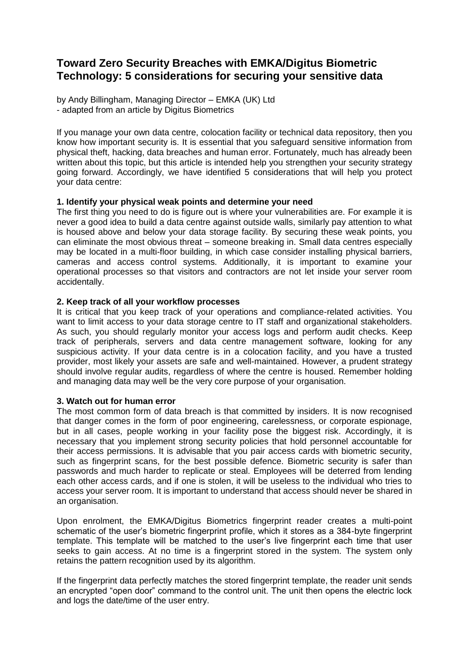# **Toward Zero Security Breaches with EMKA/Digitus Biometric Technology: 5 considerations for securing your sensitive data**

by Andy Billingham, Managing Director – EMKA (UK) Ltd - adapted from an article by Digitus Biometrics

If you manage your own data centre, colocation facility or technical data repository, then you know how important security is. It is essential that you safeguard sensitive information from physical theft, hacking, data breaches and human error. Fortunately, much has already been written about this topic, but this article is intended help you strengthen your security strategy going forward. Accordingly, we have identified 5 considerations that will help you protect your data centre:

# **1. Identify your physical weak points and determine your need**

The first thing you need to do is figure out is where your vulnerabilities are. For example it is never a good idea to build a data centre against outside walls, similarly pay attention to what is housed above and below your data storage facility. By securing these weak points, you can eliminate the most obvious threat – someone breaking in. Small data centres especially may be located in a multi-floor building, in which case consider installing physical barriers, cameras and access control systems. Additionally, it is important to examine your operational processes so that visitors and contractors are not let inside your server room accidentally.

# **2. Keep track of all your workflow processes**

It is critical that you keep track of your operations and compliance-related activities. You want to limit access to your data storage centre to IT staff and organizational stakeholders. As such, you should regularly monitor your access logs and perform audit checks. Keep track of peripherals, servers and data centre management software, looking for any suspicious activity. If your data centre is in a colocation facility, and you have a trusted provider, most likely your assets are safe and well-maintained. However, a prudent strategy should involve regular audits, regardless of where the centre is housed. Remember holding and managing data may well be the very core purpose of your organisation.

### **3. Watch out for human error**

The most common form of data breach is that committed by insiders. It is now recognised that danger comes in the form of poor engineering, carelessness, or corporate espionage, but in all cases, people working in your facility pose the biggest risk. Accordingly, it is necessary that you implement strong security policies that hold personnel accountable for their access permissions. It is advisable that you pair access cards with biometric security, such as fingerprint scans, for the best possible defence. Biometric security is safer than passwords and much harder to replicate or steal. Employees will be deterred from lending each other access cards, and if one is stolen, it will be useless to the individual who tries to access your server room. It is important to understand that access should never be shared in an organisation.

Upon enrolment, the EMKA/Digitus Biometrics fingerprint reader creates a multi-point schematic of the user's biometric fingerprint profile, which it stores as a 384-byte fingerprint template. This template will be matched to the user's live fingerprint each time that user seeks to gain access. At no time is a fingerprint stored in the system. The system only retains the pattern recognition used by its algorithm.

If the fingerprint data perfectly matches the stored fingerprint template, the reader unit sends an encrypted "open door" command to the control unit. The unit then opens the electric lock and logs the date/time of the user entry.